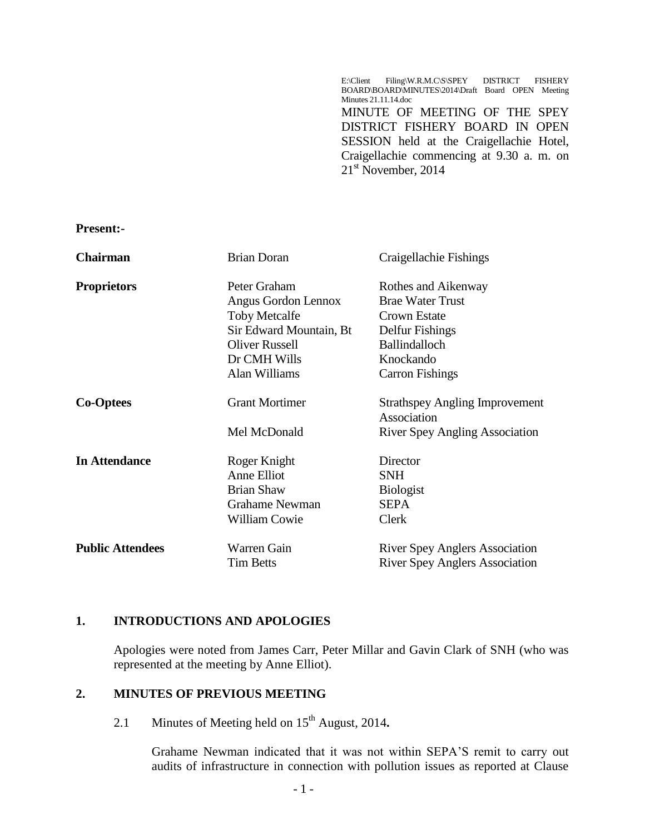E:\Client Filing\W.R.M.C\S\SPEY DISTRICT FISHERY BOARD\BOARD\MINUTES\2014\Draft Board OPEN Meeting Minutes 21.11.14.doc MINUTE OF MEETING OF THE SPEY DISTRICT FISHERY BOARD IN OPEN SESSION held at the Craigellachie Hotel, Craigellachie commencing at 9.30 a. m. on  $21<sup>st</sup>$  November, 2014

**Present:-**

| <b>Chairman</b>         | <b>Brian Doran</b>      | Craigellachie Fishings                               |
|-------------------------|-------------------------|------------------------------------------------------|
| <b>Proprietors</b>      | Peter Graham            | Rothes and Aikenway                                  |
|                         | Angus Gordon Lennox     | <b>Brae Water Trust</b>                              |
|                         | <b>Toby Metcalfe</b>    | Crown Estate                                         |
|                         | Sir Edward Mountain, Bt | Delfur Fishings                                      |
|                         | <b>Oliver Russell</b>   | <b>Ballindalloch</b>                                 |
|                         | Dr CMH Wills            | Knockando                                            |
|                         | Alan Williams           | <b>Carron Fishings</b>                               |
| <b>Co-Optees</b>        | <b>Grant Mortimer</b>   | <b>Strathspey Angling Improvement</b><br>Association |
|                         | Mel McDonald            | <b>River Spey Angling Association</b>                |
| <b>In Attendance</b>    | Roger Knight            | Director                                             |
|                         | Anne Elliot             | <b>SNH</b>                                           |
|                         | <b>Brian Shaw</b>       | <b>Biologist</b>                                     |
|                         | <b>Grahame Newman</b>   | <b>SEPA</b>                                          |
|                         | <b>William Cowie</b>    | Clerk                                                |
| <b>Public Attendees</b> | Warren Gain             | <b>River Spey Anglers Association</b>                |
|                         | <b>Tim Betts</b>        | <b>River Spey Anglers Association</b>                |

#### **1. INTRODUCTIONS AND APOLOGIES**

Apologies were noted from James Carr, Peter Millar and Gavin Clark of SNH (who was represented at the meeting by Anne Elliot).

#### **2. MINUTES OF PREVIOUS MEETING**

2.1 Minutes of Meeting held on 15<sup>th</sup> August, 2014.

Grahame Newman indicated that it was not within SEPA'S remit to carry out audits of infrastructure in connection with pollution issues as reported at Clause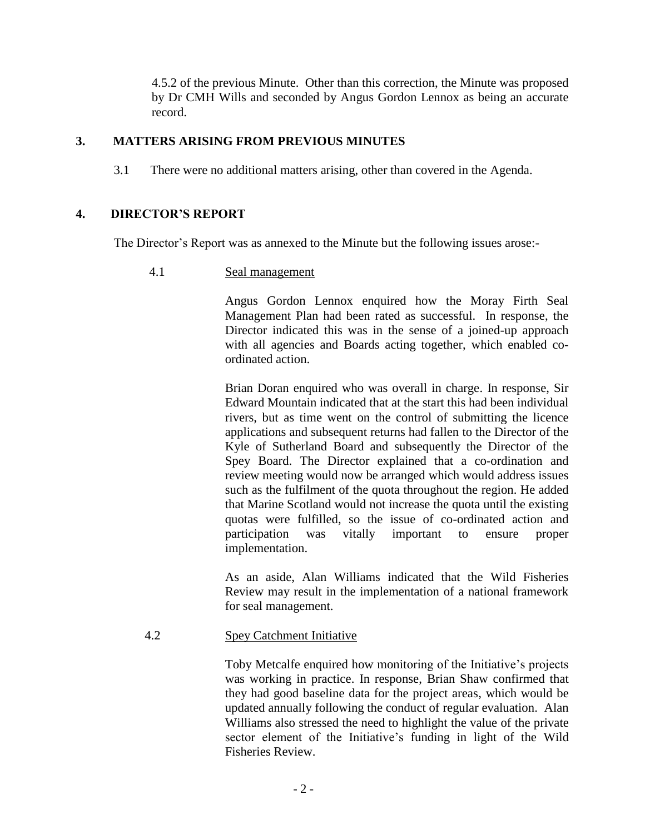4.5.2 of the previous Minute. Other than this correction, the Minute was proposed by Dr CMH Wills and seconded by Angus Gordon Lennox as being an accurate record.

# **3. MATTERS ARISING FROM PREVIOUS MINUTES**

3.1 There were no additional matters arising, other than covered in the Agenda.

# **4. DIRECTOR'S REPORT**

The Director's Report was as annexed to the Minute but the following issues arose:-

4.1 Seal management

Angus Gordon Lennox enquired how the Moray Firth Seal Management Plan had been rated as successful. In response, the Director indicated this was in the sense of a joined-up approach with all agencies and Boards acting together, which enabled coordinated action.

Brian Doran enquired who was overall in charge. In response, Sir Edward Mountain indicated that at the start this had been individual rivers, but as time went on the control of submitting the licence applications and subsequent returns had fallen to the Director of the Kyle of Sutherland Board and subsequently the Director of the Spey Board. The Director explained that a co-ordination and review meeting would now be arranged which would address issues such as the fulfilment of the quota throughout the region. He added that Marine Scotland would not increase the quota until the existing quotas were fulfilled, so the issue of co-ordinated action and participation was vitally important to ensure proper implementation.

As an aside, Alan Williams indicated that the Wild Fisheries Review may result in the implementation of a national framework for seal management.

#### 4.2 Spey Catchment Initiative

Toby Metcalfe enquired how monitoring of the Initiative's projects was working in practice. In response, Brian Shaw confirmed that they had good baseline data for the project areas, which would be updated annually following the conduct of regular evaluation. Alan Williams also stressed the need to highlight the value of the private sector element of the Initiative's funding in light of the Wild Fisheries Review.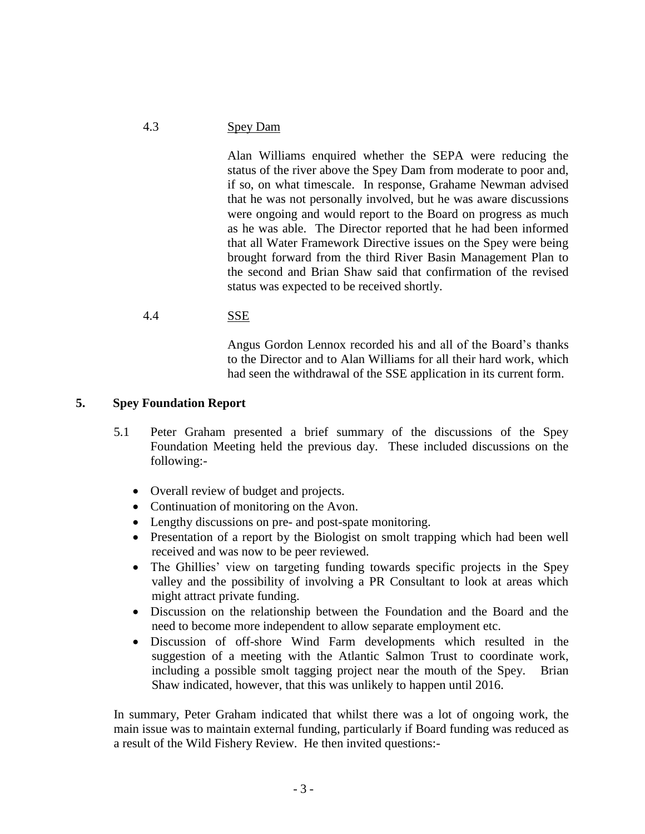#### 4.3 Spey Dam

Alan Williams enquired whether the SEPA were reducing the status of the river above the Spey Dam from moderate to poor and, if so, on what timescale. In response, Grahame Newman advised that he was not personally involved, but he was aware discussions were ongoing and would report to the Board on progress as much as he was able. The Director reported that he had been informed that all Water Framework Directive issues on the Spey were being brought forward from the third River Basin Management Plan to the second and Brian Shaw said that confirmation of the revised status was expected to be received shortly.

### 4.4 SSE

Angus Gordon Lennox recorded his and all of the Board's thanks to the Director and to Alan Williams for all their hard work, which had seen the withdrawal of the SSE application in its current form.

### **5. Spey Foundation Report**

- 5.1 Peter Graham presented a brief summary of the discussions of the Spey Foundation Meeting held the previous day. These included discussions on the following:-
	- Overall review of budget and projects.
	- Continuation of monitoring on the Avon.
	- Lengthy discussions on pre- and post-spate monitoring.
	- Presentation of a report by the Biologist on smolt trapping which had been well received and was now to be peer reviewed.
	- The Ghillies' view on targeting funding towards specific projects in the Spey valley and the possibility of involving a PR Consultant to look at areas which might attract private funding.
	- Discussion on the relationship between the Foundation and the Board and the need to become more independent to allow separate employment etc.
	- Discussion of off-shore Wind Farm developments which resulted in the suggestion of a meeting with the Atlantic Salmon Trust to coordinate work, including a possible smolt tagging project near the mouth of the Spey. Brian Shaw indicated, however, that this was unlikely to happen until 2016.

In summary, Peter Graham indicated that whilst there was a lot of ongoing work, the main issue was to maintain external funding, particularly if Board funding was reduced as a result of the Wild Fishery Review. He then invited questions:-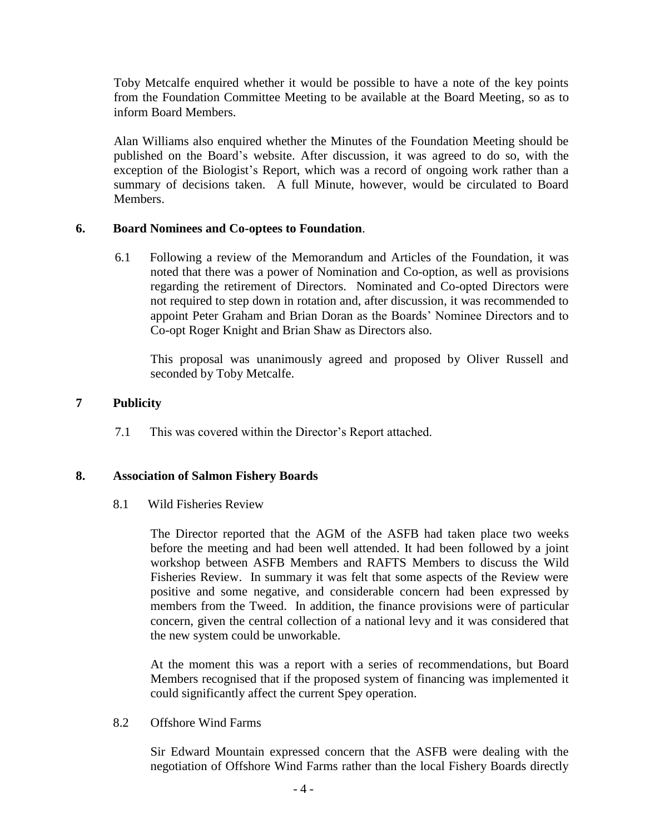Toby Metcalfe enquired whether it would be possible to have a note of the key points from the Foundation Committee Meeting to be available at the Board Meeting, so as to inform Board Members.

Alan Williams also enquired whether the Minutes of the Foundation Meeting should be published on the Board's website. After discussion, it was agreed to do so, with the exception of the Biologist's Report, which was a record of ongoing work rather than a summary of decisions taken. A full Minute, however, would be circulated to Board Members.

# **6. Board Nominees and Co-optees to Foundation**.

6.1 Following a review of the Memorandum and Articles of the Foundation, it was noted that there was a power of Nomination and Co-option, as well as provisions regarding the retirement of Directors. Nominated and Co-opted Directors were not required to step down in rotation and, after discussion, it was recommended to appoint Peter Graham and Brian Doran as the Boards' Nominee Directors and to Co-opt Roger Knight and Brian Shaw as Directors also.

This proposal was unanimously agreed and proposed by Oliver Russell and seconded by Toby Metcalfe.

# **7 Publicity**

7.1 This was covered within the Director's Report attached.

# **8. Association of Salmon Fishery Boards**

8.1 Wild Fisheries Review

The Director reported that the AGM of the ASFB had taken place two weeks before the meeting and had been well attended. It had been followed by a joint workshop between ASFB Members and RAFTS Members to discuss the Wild Fisheries Review. In summary it was felt that some aspects of the Review were positive and some negative, and considerable concern had been expressed by members from the Tweed. In addition, the finance provisions were of particular concern, given the central collection of a national levy and it was considered that the new system could be unworkable.

At the moment this was a report with a series of recommendations, but Board Members recognised that if the proposed system of financing was implemented it could significantly affect the current Spey operation.

### 8.2 Offshore Wind Farms

Sir Edward Mountain expressed concern that the ASFB were dealing with the negotiation of Offshore Wind Farms rather than the local Fishery Boards directly